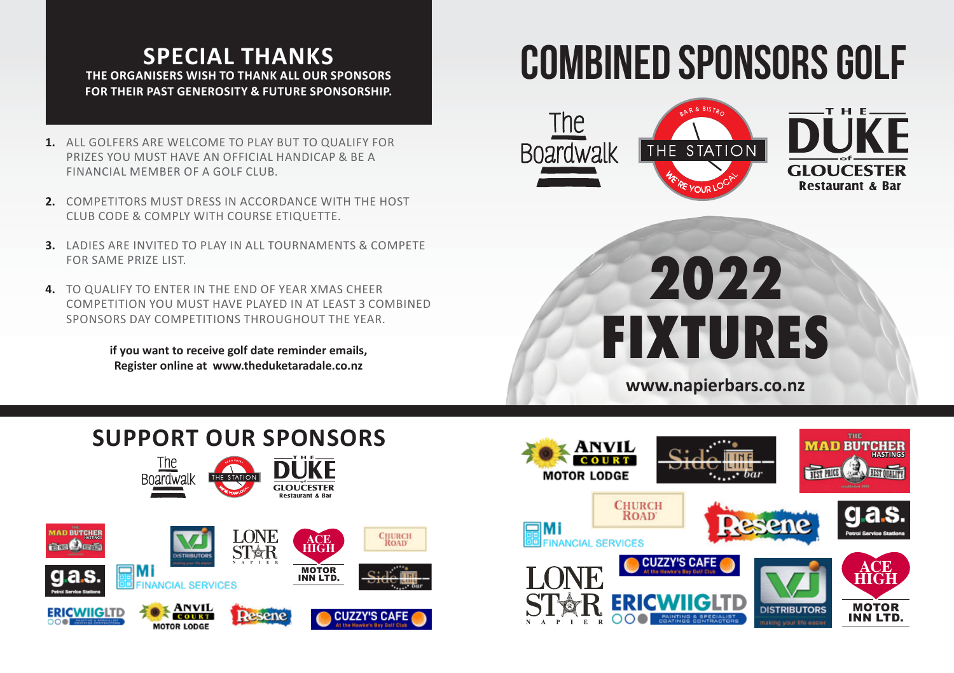# **SPECIAL THANKS THE ORGANISERS WISH TO THANK ALL OUR SPONSORS FOR THEIR PAST GENEROSITY & FUTURE SPONSORSHIP.**

- **1.** ALL GOLFERS ARE WELCOME TO PLAY BUT TO QUALIFY FOR PRIZES YOU MUST HAVE AN OFFICIAL HANDICAP & BE A FINANCIAL MEMBER OF A GOLF CLUB.
- **2.** COMPETITORS MUST DRESS IN ACCORDANCE WITH THE HOST CLUB CODE & COMPLY WITH COURSE ETIQUETTE.
- **3.** LADIES ARE INVITED TO PLAY IN ALL TOURNAMENTS & COMPETE FOR SAME PRIZE LIST.
- **4.** TO QUALIFY TO ENTER IN THE END OF YEAR XMAS CHEER COMPETITION YOU MUST HAVE PLAYED IN AT LEAST 3 COMBINED SPONSORS DAY COMPETITIONS THROUGHOUT THE YEAR.

**if you want to receive golf date reminder emails, Register online at www.theduketaradale.co.nz**

# COMBINED SPONSORS GOLF



# **2022 FIXTURES**

**www.napierbars.co.nz**

# **SUPPORT OUR SPONSORS**